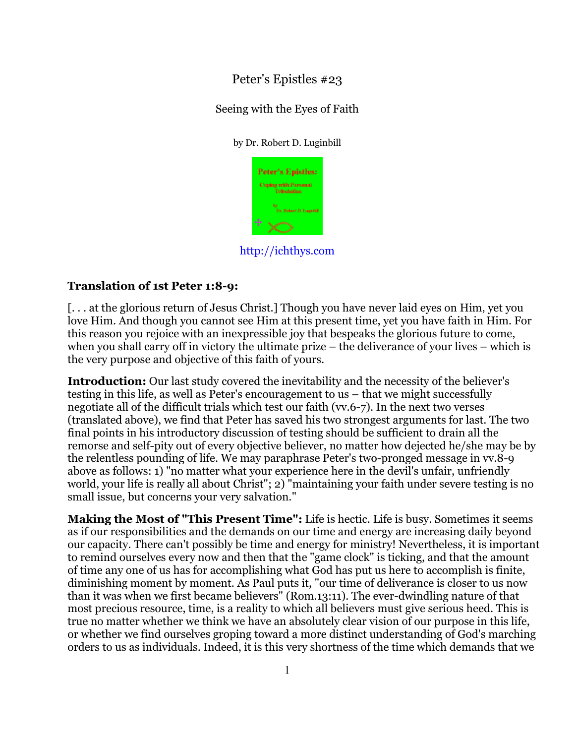# Peter's Epistles #23

### Seeing with the Eyes of Faith

### by Dr. Robert D. Luginbill



http://ichthys.com

## **Translation of 1st Peter 1:8-9:**

[. . . at the glorious return of Jesus Christ.] Though you have never laid eyes on Him, yet you love Him. And though you cannot see Him at this present time, yet you have faith in Him. For this reason you rejoice with an inexpressible joy that bespeaks the glorious future to come, when you shall carry off in victory the ultimate prize – the deliverance of your lives – which is the very purpose and objective of this faith of yours.

**Introduction:** Our last study covered the inevitability and the necessity of the believer's testing in this life, as well as Peter's encouragement to us – that we might successfully negotiate all of the difficult trials which test our faith (vv.6-7). In the next two verses (translated above), we find that Peter has saved his two strongest arguments for last. The two final points in his introductory discussion of testing should be sufficient to drain all the remorse and self-pity out of every objective believer, no matter how dejected he/she may be by the relentless pounding of life. We may paraphrase Peter's two-pronged message in vv.8-9 above as follows: 1) "no matter what your experience here in the devil's unfair, unfriendly world, your life is really all about Christ"; 2) "maintaining your faith under severe testing is no small issue, but concerns your very salvation."

**Making the Most of "This Present Time":** Life is hectic. Life is busy. Sometimes it seems as if our responsibilities and the demands on our time and energy are increasing daily beyond our capacity. There can't possibly be time and energy for ministry! Nevertheless, it is important to remind ourselves every now and then that the "game clock" is ticking, and that the amount of time any one of us has for accomplishing what God has put us here to accomplish is finite, diminishing moment by moment. As Paul puts it, "our time of deliverance is closer to us now than it was when we first became believers" (Rom.13:11). The ever-dwindling nature of that most precious resource, time, is a reality to which all believers must give serious heed. This is true no matter whether we think we have an absolutely clear vision of our purpose in this life, or whether we find ourselves groping toward a more distinct understanding of God's marching orders to us as individuals. Indeed, it is this very shortness of the time which demands that we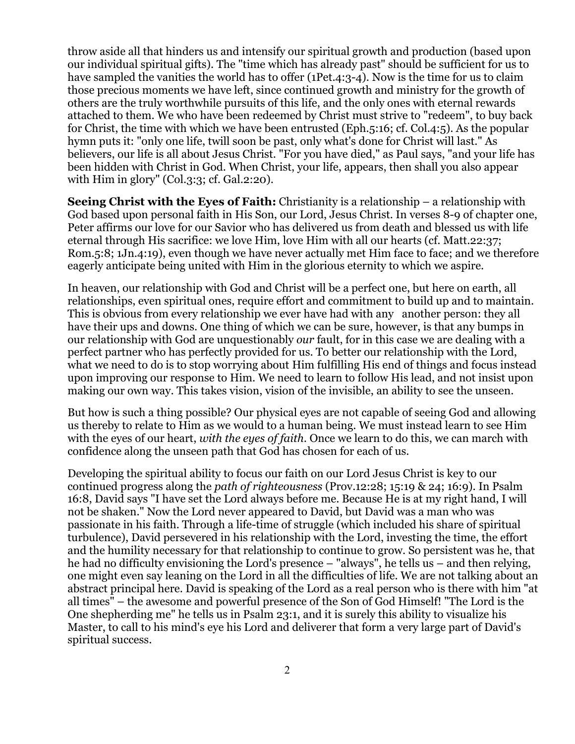throw aside all that hinders us and intensify our spiritual growth and production (based upon our individual spiritual gifts). The "time which has already past" should be sufficient for us to have sampled the vanities the world has to offer (1Pet.4:3-4). Now is the time for us to claim those precious moments we have left, since continued growth and ministry for the growth of others are the truly worthwhile pursuits of this life, and the only ones with eternal rewards attached to them. We who have been redeemed by Christ must strive to "redeem", to buy back for Christ, the time with which we have been entrusted (Eph.5:16; cf. Col.4:5). As the popular hymn puts it: "only one life, twill soon be past, only what's done for Christ will last." As believers, our life is all about Jesus Christ. "For you have died," as Paul says, "and your life has been hidden with Christ in God. When Christ, your life, appears, then shall you also appear with Him in glory" (Col.3:3; cf. Gal.2:20).

**Seeing Christ with the Eyes of Faith:** Christianity is a relationship – a relationship with God based upon personal faith in His Son, our Lord, Jesus Christ. In verses 8-9 of chapter one, Peter affirms our love for our Savior who has delivered us from death and blessed us with life eternal through His sacrifice: we love Him, love Him with all our hearts (cf. Matt.22:37; Rom.5:8; 1Jn.4:19), even though we have never actually met Him face to face; and we therefore eagerly anticipate being united with Him in the glorious eternity to which we aspire.

In heaven, our relationship with God and Christ will be a perfect one, but here on earth, all relationships, even spiritual ones, require effort and commitment to build up and to maintain. This is obvious from every relationship we ever have had with any another person: they all have their ups and downs. One thing of which we can be sure, however, is that any bumps in our relationship with God are unquestionably *our* fault, for in this case we are dealing with a perfect partner who has perfectly provided for us. To better our relationship with the Lord, what we need to do is to stop worrying about Him fulfilling His end of things and focus instead upon improving our response to Him. We need to learn to follow His lead, and not insist upon making our own way. This takes vision, vision of the invisible, an ability to see the unseen.

But how is such a thing possible? Our physical eyes are not capable of seeing God and allowing us thereby to relate to Him as we would to a human being. We must instead learn to see Him with the eyes of our heart, *with the eyes of faith*. Once we learn to do this, we can march with confidence along the unseen path that God has chosen for each of us.

Developing the spiritual ability to focus our faith on our Lord Jesus Christ is key to our continued progress along the *path of righteousness* (Prov.12:28; 15:19 & 24; 16:9). In Psalm 16:8, David says "I have set the Lord always before me. Because He is at my right hand, I will not be shaken." Now the Lord never appeared to David, but David was a man who was passionate in his faith. Through a life-time of struggle (which included his share of spiritual turbulence), David persevered in his relationship with the Lord, investing the time, the effort and the humility necessary for that relationship to continue to grow. So persistent was he, that he had no difficulty envisioning the Lord's presence – "always", he tells us – and then relying, one might even say leaning on the Lord in all the difficulties of life. We are not talking about an abstract principal here. David is speaking of the Lord as a real person who is there with him "at all times" – the awesome and powerful presence of the Son of God Himself! "The Lord is the One shepherding me" he tells us in Psalm 23:1, and it is surely this ability to visualize his Master, to call to his mind's eye his Lord and deliverer that form a very large part of David's spiritual success.